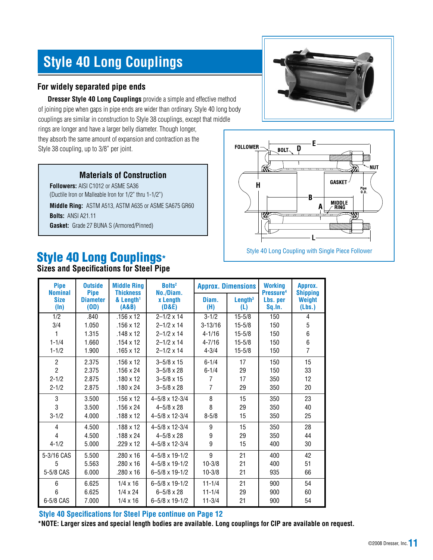# **Style 40 Long Couplings**

### **For widely separated pipe ends**

**Dresser Style 40 Long Couplings** provide a simple and effective method of joining pipe when gaps in pipe ends are wider than ordinary. Style 40 long body couplings are similar in construction to Style 38 couplings, except that middle rings are longer and have a larger belly diameter. Though longer, they absorb the same amount of expansion and contraction as the Style 38 coupling, up to 3/8" per joint.

#### **Materials of Construction**

**Followers:** AISI C1012 or ASME SA36 (Ductile Iron or Malleable Iron for 1/2" thru 1-1/2")

**Middle Ring:** ASTM A513, ASTM A635 or ASME SA675 GR60 **Bolts:** ANSI A21.11 **Gasket:** Grade 27 BUNA S (Armored/Pinned)

# Style 40 Long Couplings\*

**Sizes and Specifications for Steel Pipe**

|--|



| <b>Pipe</b><br><b>Nominal</b> | <b>Outside</b><br><b>Pipe</b> | <b>Middle Ring</b><br><b>Thickness</b> | <b>Bolts<sup>2</sup></b><br>No./Diam. | <b>Approx. Dimensions</b> |                               | <b>Working</b><br>Pressure <sup>4</sup> | Approx.<br><b>Shipping</b> |
|-------------------------------|-------------------------------|----------------------------------------|---------------------------------------|---------------------------|-------------------------------|-----------------------------------------|----------------------------|
| <b>Size</b><br>$(\ln)$        | <b>Diameter</b><br>(OD)       | & Length <sup>1</sup><br>(A&B)         | <b>x</b> Length<br>(D&E)              | Diam.<br>(H)              | $L$ ength <sup>3</sup><br>(L) | Lbs. per<br>Sq.In.                      | Weight<br>(Lbs.)           |
| 1/2                           | .840                          | $.156 \times 12$                       | $2 - 1/2 \times 14$                   | $3 - 1/2$                 | $15 - 5/8$                    | 150                                     | 4                          |
| 3/4                           | 1.050                         | $.156 \times 12$                       | $2 - 1/2 \times 14$                   | $3 - 13/16$               | $15 - 5/8$                    | 150                                     | 5                          |
| 1                             | 1.315                         | $.148 \times 12$                       | $2 - 1/2 \times 14$                   | $4 - 1/16$                | $15 - 5/8$                    | 150                                     | 6                          |
| $1 - 1/4$                     | 1.660                         | $.154 \times 12$                       | $2 - 1/2 \times 14$                   | $4 - 7/16$                | $15 - 5/8$                    | 150                                     | 6                          |
| $1 - 1/2$                     | 1.900                         | $.165 \times 12$                       | $2 - 1/2 \times 14$                   | $4 - 3/4$                 | $15 - 5/8$                    | 150                                     | $\overline{7}$             |
| $\overline{2}$                | 2.375                         | $.156 \times 12$                       | $3 - 5/8 \times 15$                   | $6 - 1/4$                 | 17                            | 150                                     | 15                         |
| $\overline{2}$                | 2.375                         | $.156 \times 24$                       | $3 - 5/8 \times 28$                   | $6 - 1/4$                 | 29                            | 150                                     | 33                         |
| $2 - 1/2$                     | 2.875                         | $.180 \times 12$                       | $3 - 5/8 \times 15$                   | $\overline{7}$            | 17                            | 350                                     | 12                         |
| $2 - 1/2$                     | 2.875                         | $.180 \times 24$                       | $3 - 5/8 \times 28$                   | $\overline{7}$            | 29                            | 350                                     | 20                         |
| 3                             | 3.500                         | $.156 \times 12$                       | $4 - 5/8 \times 12 - 3/4$             | 8                         | 15                            | 350                                     | 23                         |
| 3                             | 3.500                         | $.156 \times 24$                       | $4 - 5/8 \times 28$                   | 8                         | 29                            | 350                                     | 40                         |
| $3 - 1/2$                     | 4.000                         | $.188 \times 12$                       | $4 - 5/8 \times 12 - 3/4$             | $8 - 5/8$                 | 15                            | 350                                     | 25                         |
| $\overline{4}$                | 4.500                         | $.188 \times 12$                       | $4 - 5/8 \times 12 - 3/4$             | 9                         | 15                            | 350                                     | 28                         |
| 4                             | 4.500                         | $.188 \times 24$                       | $4 - 5/8 \times 28$                   | 9                         | 29                            | 350                                     | 44                         |
| $4 - 1/2$                     | 5.000                         | $.229 \times 12$                       | $4 - 5/8 \times 12 - 3/4$             | 9                         | 15                            | 400                                     | 30                         |
| 5-3/16 CAS                    | 5.500                         | $.280 \times 16$                       | $4 - 5/8 \times 19 - 1/2$             | 9                         | 21                            | 400                                     | 42                         |
| 5                             | 5.563                         | $.280 \times 16$                       | $4 - 5/8 \times 19 - 1/2$             | $10 - 3/8$                | 21                            | 400                                     | 51                         |
| 5-5/8 CAS                     | 6.000                         | $.280 \times 16$                       | $6 - 5/8 \times 19 - 1/2$             | $10 - 3/8$                | 21                            | 935                                     | 66                         |
| 6                             | 6.625                         | $1/4 \times 16$                        | $6 - 5/8 \times 19 - 1/2$             | $11 - 1/4$                | 21                            | 900                                     | 54                         |
| 6                             | 6.625                         | $1/4 \times 24$                        | $6 - 5/8 \times 28$                   | $11 - 1/4$                | 29                            | 900                                     | 60                         |
| 6-5/8 CAS                     | 7.000                         | $1/4 \times 16$                        | $6 - 5/8 \times 19 - 1/2$             | $11 - 3/4$                | 21                            | 900                                     | 54                         |

**Style 40 Specifications for Steel Pipe continue on Page 12**

**\*NOTE: Larger sizes and special length bodies are available. Long couplings for CIP are available on request.**